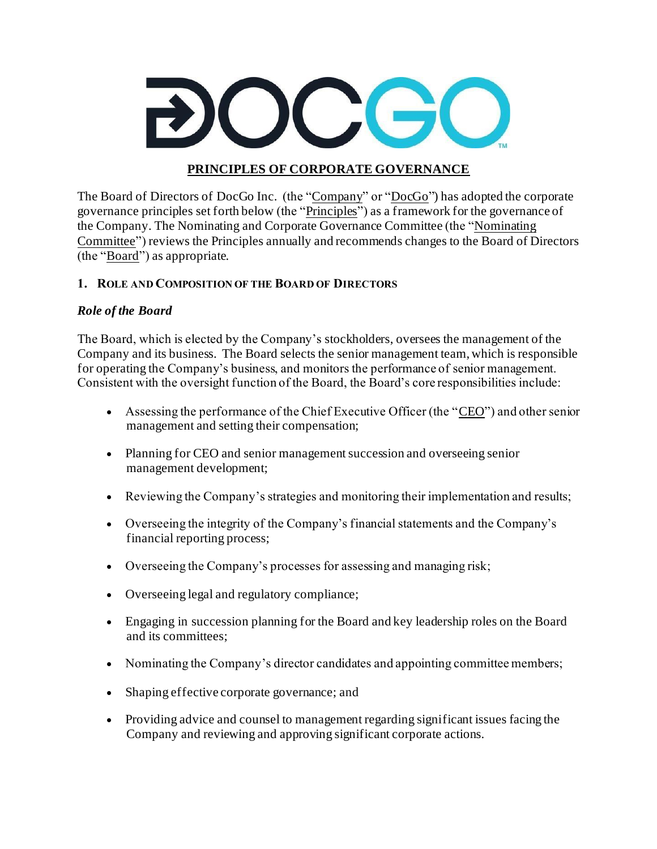

### **PRINCIPLES OF CORPORATE GOVERNANCE**

The Board of Directors of DocGo Inc. (the "Company" or "DocGo") has adopted the corporate governance principles set forth below (the "Principles") as a framework for the governance of the Company. The Nominating and Corporate Governance Committee (the "Nominating Committee") reviews the Principles annually and recommends changes to the Board of Directors (the "Board") as appropriate.

### **1. ROLE AND COMPOSITION OF THE BOARD OF DIRECTORS**

#### *Role of the Board*

The Board, which is elected by the Company's stockholders, oversees the management of the Company and its business. The Board selects the senior management team, which is responsible for operating the Company's business, and monitors the performance of senior management. Consistent with the oversight function of the Board, the Board's core responsibilities include:

- Assessing the performance of the Chief Executive Officer (the " $\underline{CEO}$ ") and other senior management and setting their compensation;
- Planning for CEO and senior management succession and overseeing senior management development;
- Reviewing the Company's strategies and monitoring their implementation and results;
- Overseeing the integrity of the Company's financial statements and the Company's financial reporting process;
- Overseeing the Company's processes for assessing and managing risk;
- Overseeing legal and regulatory compliance;
- Engaging in succession planning for the Board and key leadership roles on the Board and its committees;
- Nominating the Company's director candidates and appointing committee members;
- Shaping effective corporate governance; and
- Providing advice and counsel to management regarding significant issues facing the Company and reviewing and approving significant corporate actions.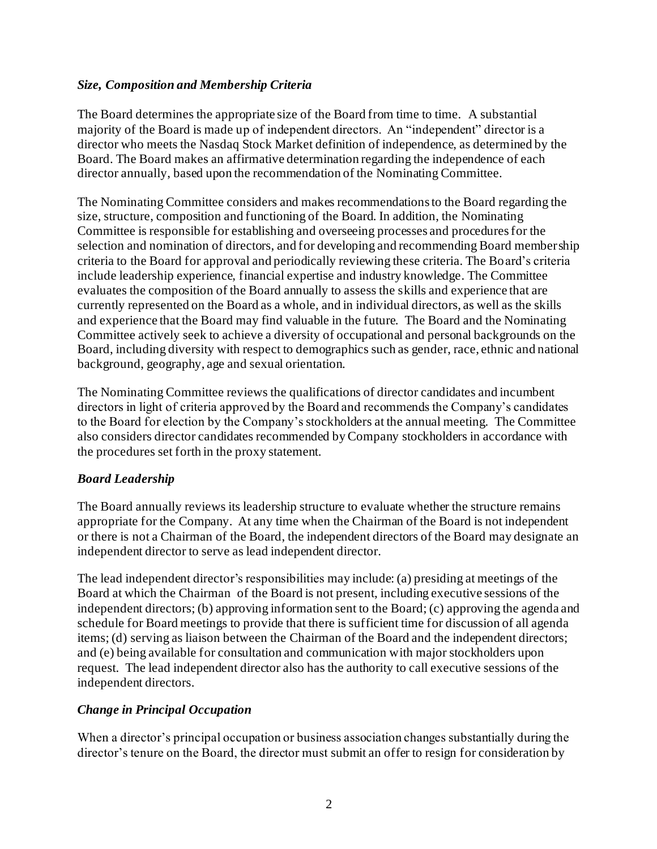### *Size, Composition and Membership Criteria*

The Board determines the appropriate size of the Board from time to time. A substantial majority of the Board is made up of independent directors. An "independent" director is a director who meets the Nasdaq Stock Market definition of independence, as determined by the Board. The Board makes an affirmative determination regarding the independence of each director annually, based upon the recommendation of the Nominating Committee.

The Nominating Committee considers and makes recommendations to the Board regarding the size, structure, composition and functioning of the Board. In addition, the Nominating Committee is responsible for establishing and overseeing processes and procedures for the selection and nomination of directors, and for developing and recommending Board membership criteria to the Board for approval and periodically reviewing these criteria. The Board's criteria include leadership experience, financial expertise and industry knowledge. The Committee evaluates the composition of the Board annually to assess the skills and experience that are currently represented on the Board as a whole, and in individual directors, as well as the skills and experience that the Board may find valuable in the future. The Board and the Nominating Committee actively seek to achieve a diversity of occupational and personal backgrounds on the Board, including diversity with respect to demographics such as gender, race, ethnic and national background, geography, age and sexual orientation.

The Nominating Committee reviews the qualifications of director candidates and incumbent directors in light of criteria approved by the Board and recommends the Company's candidates to the Board for election by the Company's stockholders at the annual meeting. The Committee also considers director candidates recommended by Company stockholders in accordance with the procedures set forth in the proxy statement.

# *Board Leadership*

The Board annually reviews its leadership structure to evaluate whether the structure remains appropriate for the Company. At any time when the Chairman of the Board is not independent or there is not a Chairman of the Board, the independent directors of the Board may designate an independent director to serve as lead independent director.

The lead independent director's responsibilities may include: (a) presiding at meetings of the Board at which the Chairman of the Board is not present, including executive sessions of the independent directors; (b) approving information sent to the Board; (c) approving the agenda and schedule for Board meetings to provide that there is sufficient time for discussion of all agenda items; (d) serving as liaison between the Chairman of the Board and the independent directors; and (e) being available for consultation and communication with major stockholders upon request. The lead independent director also has the authority to call executive sessions of the independent directors.

### *Change in Principal Occupation*

When a director's principal occupation or business association changes substantially during the director's tenure on the Board, the director must submit an offer to resign for consideration by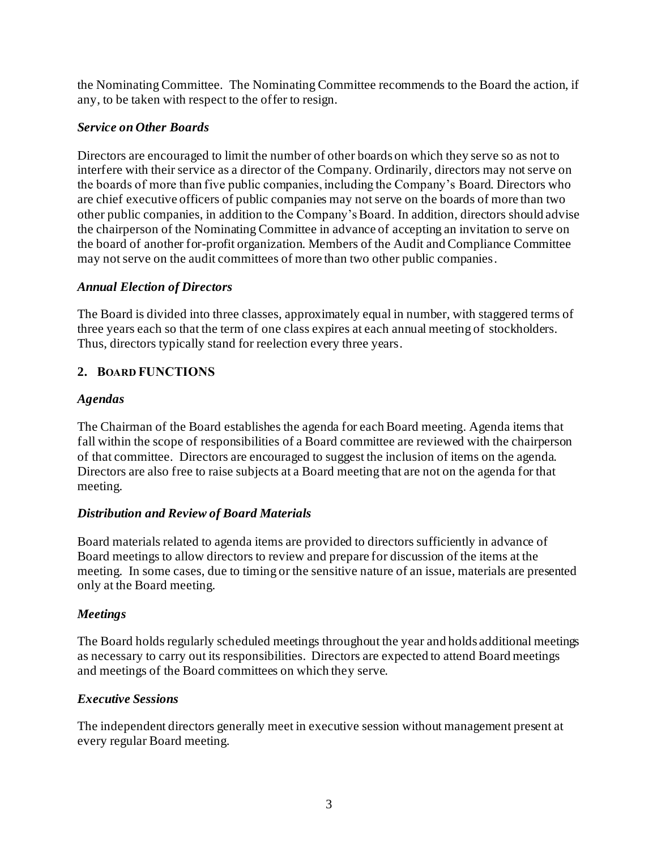the Nominating Committee. The Nominating Committee recommends to the Board the action, if any, to be taken with respect to the offer to resign.

#### *Service on Other Boards*

Directors are encouraged to limit the number of other boards on which they serve so as not to interfere with their service as a director of the Company. Ordinarily, directors may not serve on the boards of more than five public companies, including the Company's Board. Directors who are chief executive officers of public companies may not serve on the boards of more than two other public companies, in addition to the Company's Board. In addition, directors should advise the chairperson of the Nominating Committee in advance of accepting an invitation to serve on the board of another for-profit organization. Members of the Audit and Compliance Committee may not serve on the audit committees of more than two other public companies.

#### *Annual Election of Directors*

The Board is divided into three classes, approximately equal in number, with staggered terms of three years each so that the term of one class expires at each annual meeting of stockholders. Thus, directors typically stand for reelection every three years.

### **2. BOARD FUNCTIONS**

#### *Agendas*

The Chairman of the Board establishes the agenda for each Board meeting. Agenda items that fall within the scope of responsibilities of a Board committee are reviewed with the chairperson of that committee. Directors are encouraged to suggest the inclusion of items on the agenda. Directors are also free to raise subjects at a Board meeting that are not on the agenda for that meeting.

### *Distribution and Review of Board Materials*

Board materials related to agenda items are provided to directors sufficiently in advance of Board meetings to allow directors to review and prepare for discussion of the items at the meeting. In some cases, due to timing or the sensitive nature of an issue, materials are presented only at the Board meeting.

### *Meetings*

The Board holds regularly scheduled meetings throughout the year and holds additional meetings as necessary to carry out its responsibilities. Directors are expected to attend Board meetings and meetings of the Board committees on which they serve.

#### *Executive Sessions*

The independent directors generally meet in executive session without management present at every regular Board meeting.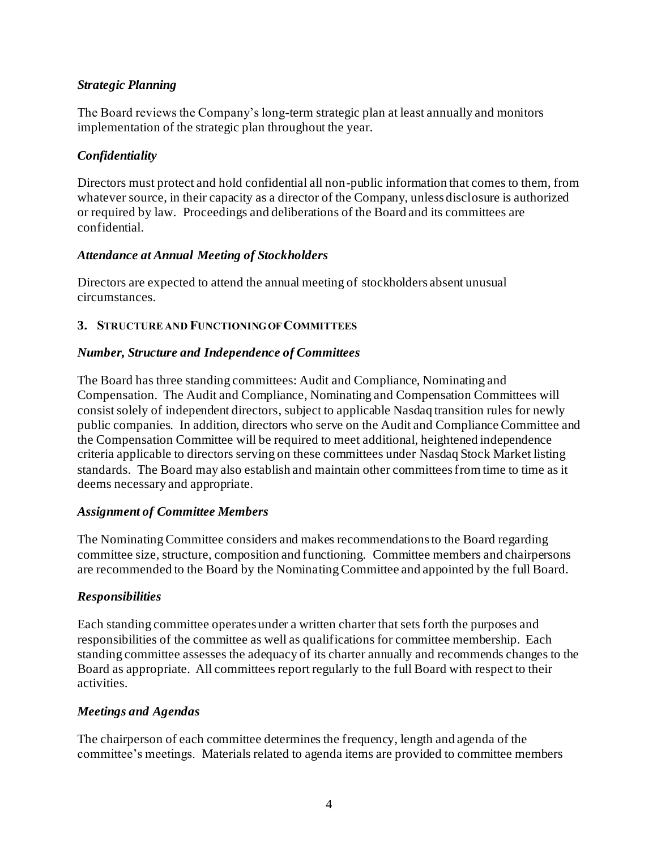### *Strategic Planning*

The Board reviews the Company's long-term strategic plan at least annually and monitors implementation of the strategic plan throughout the year.

# *Confidentiality*

Directors must protect and hold confidential all non-public information that comes to them, from whatever source, in their capacity as a director of the Company, unless disclosure is authorized or required by law. Proceedings and deliberations of the Board and its committees are confidential.

### *Attendance at Annual Meeting of Stockholders*

Directors are expected to attend the annual meeting of stockholders absent unusual circumstances.

### **3. STRUCTURE AND FUNCTIONING OF COMMITTEES**

### *Number, Structure and Independence of Committees*

The Board has three standing committees: Audit and Compliance, Nominating and Compensation. The Audit and Compliance, Nominating and Compensation Committees will consist solely of independent directors, subject to applicable Nasdaq transition rules for newly public companies. In addition, directors who serve on the Audit and Compliance Committee and the Compensation Committee will be required to meet additional, heightened independence criteria applicable to directors serving on these committees under Nasdaq Stock Market listing standards. The Board may also establish and maintain other committees from time to time as it deems necessary and appropriate.

### *Assignment of Committee Members*

The Nominating Committee considers and makes recommendations to the Board regarding committee size, structure, composition and functioning. Committee members and chairpersons are recommended to the Board by the Nominating Committee and appointed by the full Board.

### *Responsibilities*

Each standing committee operates under a written charter that sets forth the purposes and responsibilities of the committee as well as qualifications for committee membership. Each standing committee assesses the adequacy of its charter annually and recommends changes to the Board as appropriate. All committees report regularly to the full Board with respect to their activities.

### *Meetings and Agendas*

The chairperson of each committee determines the frequency, length and agenda of the committee's meetings. Materials related to agenda items are provided to committee members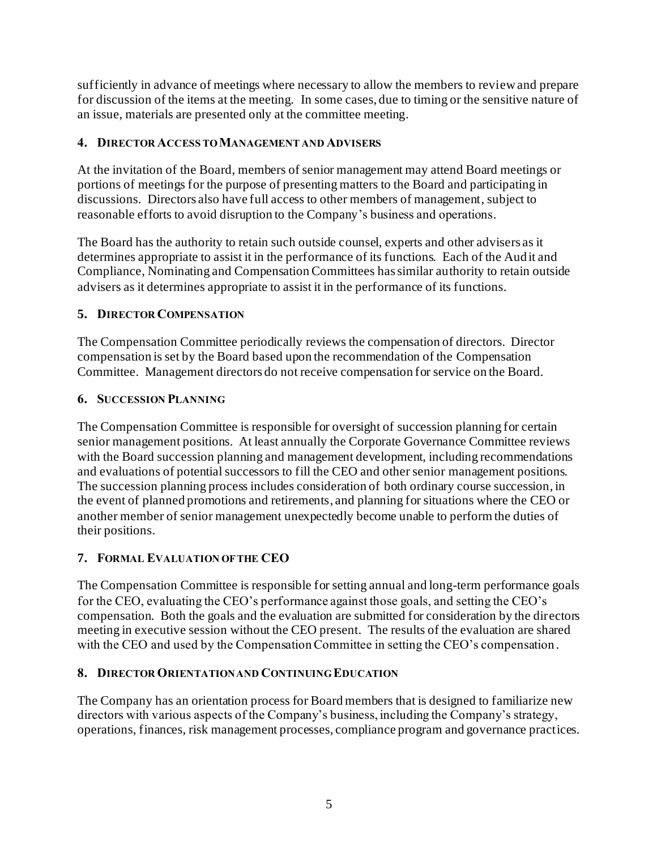sufficiently in advance of meetings where necessary to allow the members to review and prepare for discussion of the items at the meeting. In some cases, due to timing or the sensitive nature of an issue, materials are presented only at the committee meeting.

### **4. DIRECTOR ACCESS TO MANAGEMENT AND ADVISERS**

At the invitation of the Board, members of senior management may attend Board meetings or portions of meetings for the purpose of presenting matters to the Board and participating in discussions. Directors also have full access to other members of management, subject to reasonable efforts to avoid disruption to the Company's business and operations.

The Board has the authority to retain such outside counsel, experts and other advisers as it determines appropriate to assist it in the performance of its functions. Each of the Audit and Compliance, Nominating and Compensation Committees has similar authority to retain outside advisers as it determines appropriate to assist it in the performance of its functions.

# **5. DIRECTOR COMPENSATION**

The Compensation Committee periodically reviews the compensation of directors. Director compensation is set by the Board based upon the recommendation of the Compensation Committee. Management directors do not receive compensation for service on the Board.

# **6. SUCCESSION PLANNING**

The Compensation Committee is responsible for oversight of succession planning for certain senior management positions. At least annually the Corporate Governance Committee reviews with the Board succession planning and management development, including recommendations and evaluations of potential successors to fill the CEO and other senior management positions. The succession planning process includes consideration of both ordinary course succession, in the event of planned promotions and retirements, and planning for situations where the CEO or another member of senior management unexpectedly become unable to perform the duties of their positions.

# **7. FORMAL EVALUATION OF THE CEO**

The Compensation Committee is responsible for setting annual and long-term performance goals for the CEO, evaluating the CEO's performance against those goals, and setting the CEO's compensation. Both the goals and the evaluation are submitted for consideration by the directors meeting in executive session without the CEO present. The results of the evaluation are shared with the CEO and used by the Compensation Committee in setting the CEO's compensation.

### **8. DIRECTOR ORIENTATION AND CONTINUING EDUCATION**

The Company has an orientation process for Board members that is designed to familiarize new directors with various aspects of the Company's business, including the Company's strategy, operations, finances, risk management processes, compliance program and governance practices.